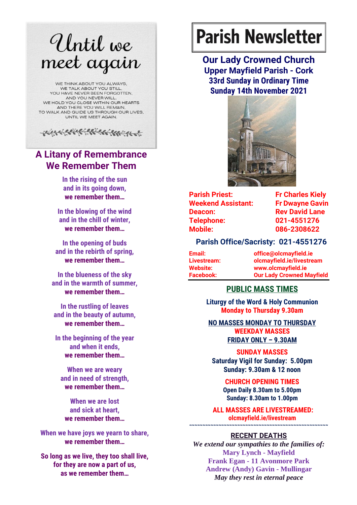# Until we meet again

WE THINK ABOUT YOU ALWAYS. WE TALK ABOUT YOU STILL YOU HAVE NEVER BEEN FORGOTTEN. AND YOU NEVER WILL. WE HOLD YOU CLOSE WITHIN OUR HEARTS AND THERE YOU WILL REMAIN, TO WALK AND GUIDE US THROUGH OUR LIVES. UNTIL WE MEET AGAIN



## **A Litany of Remembrance We Remember Them**

**In the rising of the sun and in its going down, we remember them…**

**In the blowing of the wind and in the chill of winter, we remember them…**

**In the opening of buds and in the rebirth of spring, we remember them…**

**In the blueness of the sky and in the warmth of summer, we remember them…**

**In the rustling of leaves and in the beauty of autumn, we remember them…**

**In the beginning of the year and when it ends, we remember them…**

**When we are weary and in need of strength, we remember them…**

**When we are lost and sick at heart, we remember them…**

**When we have joys we yearn to share, we remember them…**

**So long as we live, they too shall live, for they are now a part of us, as we remember them…**

# **Parish Newsletter**

**Our Lady Crowned Church Upper Mayfield Parish - Cork 33rd Sunday in Ordinary Time Sunday 14th November 2021**



| <b>Parish Priest:</b>     | <b>Fr Charles Kiely</b> |
|---------------------------|-------------------------|
| <b>Weekend Assistant:</b> | <b>Fr Dwayne Gavir</b>  |
| Deacon:                   | <b>Rev David Lane</b>   |
| <b>Telephone:</b>         | 021-4551276             |
| <b>Mobile:</b>            | 086-2308622             |

#### **Parish Office/Sacristy: 021-4551276**

| Email:           | office@olcmayfield.ie            |
|------------------|----------------------------------|
| Livestream:      | olcmayfield.ie/livestream        |
| Website:         | www.olcmayfield.ie               |
| <b>Facebook:</b> | <b>Our Lady Crowned Mayfield</b> |

#### **PUBLIC MASS TIMES**

**Liturgy of the Word & Holy Communion Monday to Thursday 9.30am**

**NO MASSES MONDAY TO THURSDAY WEEKDAY MASSES FRIDAY ONLY – 9.30AM**

**SUNDAY MASSES Saturday Vigil for Sunday: 5.00pm Sunday: 9.30am & 12 noon**

> **CHURCH OPENING TIMES Open Daily 8.30am to 5.00pm Sunday: 8.30am to 1.00pm**

**ALL MASSES ARE LIVESTREAMED: olcmayfield.ie/livestream ~~~~~~~~~~~~~~~~~~~~~~~~~~~~~~~~~~~~~~~~~~~~~~~~~~~~**

#### **RECENT DEATHS**

*We extend our sympathies to the families of:* **Mary Lynch - Mayfield Frank Egan - 11 Avonmore Park Andrew (Andy) Gavin - Mullingar** *May they rest in eternal peace*